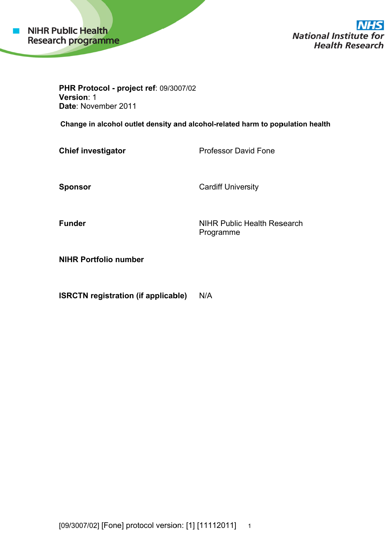

**National Institute Health Research** 

**PHR Protocol - project ref**: 09/3007/02 **Ver rsion**: 1 Date: November 2011

**Change in alcohol outlet density and alcohol-related harm to population health** 

**Chief investigator** 

Professor David Fone

**Spo onsor** 

Cardiff University

**Funder** 

NIHR Public Health Research Prog gramme

**NIHR Portfolio number** 

**ISRCTN registration (if applicable)** N/A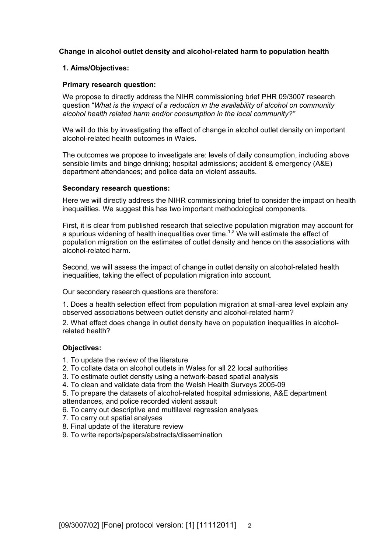## **Change in alcohol outlet density and alcohol-related harm to population health**

## **1. Aims/Objectives:**

## **Primary research question:**

We propose to directly address the NIHR commissioning brief PHR 09/3007 research question "*What is the impact of a reduction in the availability of alcohol on community alcohol health related harm and/or consumption in the local community?"*

We will do this by investigating the effect of change in alcohol outlet density on important alcohol-related health outcomes in Wales.

The outcomes we propose to investigate are: levels of daily consumption, including above sensible limits and binge drinking; hospital admissions; accident & emergency (A&E) department attendances; and police data on violent assaults.

## **Secondary research questions:**

Here we will directly address the NIHR commissioning brief to consider the impact on health inequalities. We suggest this has two important methodological components.

First, it is clear from published research that selective population migration may account for a spurious widening of health inequalities over time.<sup>1,2</sup> We will estimate the effect of population migration on the estimates of outlet density and hence on the associations with alcohol-related harm.

Second, we will assess the impact of change in outlet density on alcohol-related health inequalities, taking the effect of population migration into account.

Our secondary research questions are therefore:

1. Does a health selection effect from population migration at small-area level explain any observed associations between outlet density and alcohol-related harm?

2. What effect does change in outlet density have on population inequalities in alcoholrelated health?

## **Objectives:**

- 1. To update the review of the literature
- 2. To collate data on alcohol outlets in Wales for all 22 local authorities
- 3. To estimate outlet density using a network-based spatial analysis
- 4. To clean and validate data from the Welsh Health Surveys 2005-09
- 5. To prepare the datasets of alcohol-related hospital admissions, A&E department attendances, and police recorded violent assault
- 6. To carry out descriptive and multilevel regression analyses
- 7. To carry out spatial analyses
- 8. Final update of the literature review
- 9. To write reports/papers/abstracts/dissemination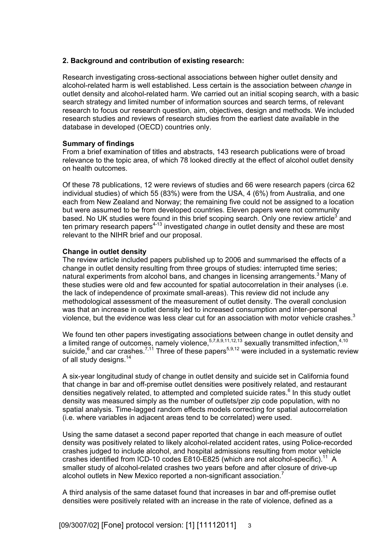### **2. Background and contribution of existing research:**

Research investigating cross-sectional associations between higher outlet density and alcohol-related harm is well established. Less certain is the association between *change* in outlet density and alcohol-related harm. We carried out an initial scoping search, with a basic search strategy and limited number of information sources and search terms, of relevant research to focus our research question, aim, objectives, design and methods. We included research studies and reviews of research studies from the earliest date available in the database in developed (OECD) countries only.

### **Summary of findings**

From a brief examination of titles and abstracts, 143 research publications were of broad relevance to the topic area, of which 78 looked directly at the effect of alcohol outlet density on health outcomes.

Of these 78 publications, 12 were reviews of studies and 66 were research papers (circa 62 individual studies) of which 55 (83%) were from the USA, 4 (6%) from Australia, and one each from New Zealand and Norway; the remaining five could not be assigned to a location but were assumed to be from developed countries. Eleven papers were not community based. No UK studies were found in this brief scoping search. Only one review article<sup>3</sup> and ten primary research papers<sup>4-13</sup> investigated *change* in outlet density and these are most relevant to the NIHR brief and our proposal.

### **Change in outlet density**

The review article included papers published up to 2006 and summarised the effects of a change in outlet density resulting from three groups of studies: interrupted time series; natural experiments from alcohol bans, and changes in licensing arrangements.<sup>3</sup> Many of these studies were old and few accounted for spatial autocorrelation in their analyses (i.e. the lack of independence of proximate small-areas). This review did not include any methodological assessment of the measurement of outlet density. The overall conclusion was that an increase in outlet density led to increased consumption and inter-personal violence, but the evidence was less clear cut for an association with motor vehicle crashes. $3$ 

We found ten other papers investigating associations between change in outlet density and a limited range of outcomes, namely violence,  $57,8,9,11,12,13$  sexually transmitted infection,  $4,10$ suicide,  $6$  and car crashes.<sup>7,11</sup> Three of these papers<sup>5,9,12</sup> were included in a systematic review of all study designs.<sup>14</sup>

A six-year longitudinal study of change in outlet density and suicide set in California found that change in bar and off-premise outlet densities were positively related, and restaurant densities negatively related, to attempted and completed suicide rates.<sup>6</sup> In this study outlet density was measured simply as the number of outlets/per zip code population, with no spatial analysis. Time-lagged random effects models correcting for spatial autocorrelation (i.e. where variables in adjacent areas tend to be correlated) were used.

Using the same dataset a second paper reported that change in each measure of outlet density was positively related to likely alcohol-related accident rates, using Police-recorded crashes judged to include alcohol, and hospital admissions resulting from motor vehicle crashes identified from ICD-10 codes E810-E825 (which are not alcohol-specific).<sup>11</sup> A smaller study of alcohol-related crashes two years before and after closure of drive-up alcohol outlets in New Mexico reported a non-significant association.<sup>7</sup>

A third analysis of the same dataset found that increases in bar and off-premise outlet densities were positively related with an increase in the rate of violence, defined as a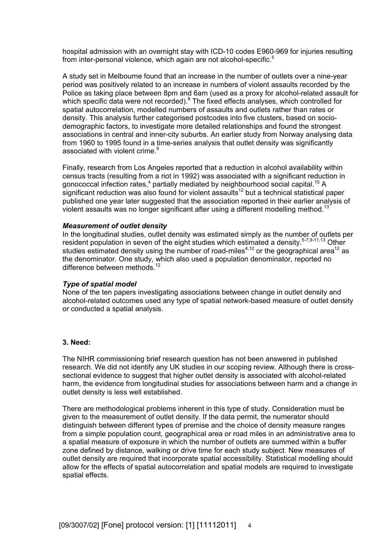hospital admission with an overnight stay with ICD-10 codes E960-969 for injuries resulting from inter-personal violence, which again are not alcohol-specific.<sup>5</sup>

A study set in Melbourne found that an increase in the number of outlets over a nine-year period was positively related to an increase in numbers of violent assaults recorded by the Police as taking place between 8pm and 6am (used as a proxy for alcohol-related assault for which specific data were not recorded). $8$  The fixed effects analyses, which controlled for spatial autocorrelation, modelled numbers of assaults and outlets rather than rates or density. This analysis further categorised postcodes into five clusters, based on sociodemographic factors, to investigate more detailed relationships and found the strongest associations in central and inner-city suburbs. An earlier study from Norway analysing data from 1960 to 1995 found in a time-series analysis that outlet density was significantly associated with violent crime.<sup>9</sup>

Finally, research from Los Angeles reported that a reduction in alcohol availability within census tracts (resulting from a riot in 1992) was associated with a significant reduction in gonococcal infection rates, $4$  partially mediated by neighbourhood social capital.<sup>10</sup> A significant reduction was also found for violent assaults<sup>12</sup> but a technical statistical paper published one year later suggested that the association reported in their earlier analysis of violent assaults was no longer significant after using a different modelling method.<sup>13</sup>

#### *Measurement of outlet density*

In the longitudinal studies, outlet density was estimated simply as the number of outlets per resident population in seven of the eight studies which estimated a density.<sup>5-7,9-11,13</sup> Other studies estimated density using the number of road-miles<sup>4,12</sup> or the geographical area<sup>12</sup> as the denominator. One study, which also used a population denominator, reported no difference between methods.<sup>12</sup>

## *Type of spatial model*

None of the ten papers investigating associations between change in outlet density and alcohol-related outcomes used any type of spatial network-based measure of outlet density or conducted a spatial analysis.

### **3. Need:**

The NIHR commissioning brief research question has not been answered in published research. We did not identify any UK studies in our scoping review. Although there is crosssectional evidence to suggest that higher outlet density is associated with alcohol-related harm, the evidence from longitudinal studies for associations between harm and a change in outlet density is less well established.

There are methodological problems inherent in this type of study. Consideration must be given to the measurement of outlet density. If the data permit, the numerator should distinguish between different types of premise and the choice of density measure ranges from a simple population count, geographical area or road miles in an administrative area to a spatial measure of exposure in which the number of outlets are summed within a buffer zone defined by distance, walking or drive time for each study subject. New measures of outlet density are required that incorporate spatial accessibility. Statistical modelling should allow for the effects of spatial autocorrelation and spatial models are required to investigate spatial effects.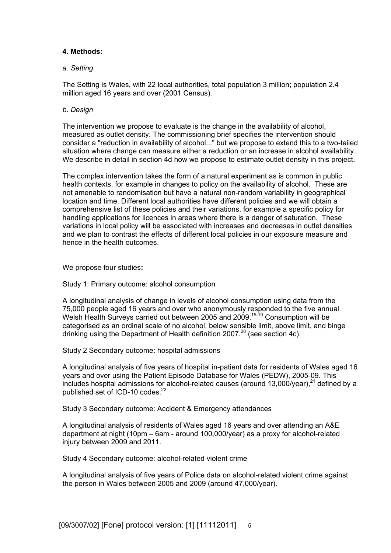## **4. Methods:**

### *a. Setting*

The Setting is Wales, with 22 local authorities, total population 3 million; population 2.4 million aged 16 years and over (2001 Census).

### *b. Design*

The intervention we propose to evaluate is the change in the availability of alcohol, measured as outlet density. The commissioning brief specifies the intervention should consider a "reduction in availability of alcohol..." but we propose to extend this to a two-tailed situation where change can measure either a reduction or an increase in alcohol availability. We describe in detail in section 4d how we propose to estimate outlet density in this project.

The complex intervention takes the form of a natural experiment as is common in public health contexts, for example in changes to policy on the availability of alcohol. These are not amenable to randomisation but have a natural non-random variability in geographical location and time. Different local authorities have different policies and we will obtain a comprehensive list of these policies and their variations, for example a specific policy for handling applications for licences in areas where there is a danger of saturation. These variations in local policy will be associated with increases and decreases in outlet densities and we plan to contrast the effects of different local policies in our exposure measure and hence in the health outcomes.

We propose four studies**:** 

Study 1: Primary outcome: alcohol consumption

A longitudinal analysis of change in levels of alcohol consumption using data from the 75,000 people aged 16 years and over who anonymously responded to the five annual Welsh Health Surveys carried out between 2005 and 2009.<sup>15-19</sup> Consumption will be categorised as an ordinal scale of no alcohol, below sensible limit, above limit, and binge drinking using the Department of Health definition 2007.<sup>20</sup> (see section 4c).

Study 2 Secondary outcome: hospital admissions

A longitudinal analysis of five years of hospital in-patient data for residents of Wales aged 16 years and over using the Patient Episode Database for Wales (PEDW), 2005-09. This includes hospital admissions for alcohol-related causes (around 13,000/year), $^{21}$  defined by a published set of ICD-10 codes. $^{22}$ 

Study 3 Secondary outcome: Accident & Emergency attendances

A longitudinal analysis of residents of Wales aged 16 years and over attending an A&E department at night (10pm – 6am - around 100,000/year) as a proxy for alcohol-related injury between 2009 and 2011.

Study 4 Secondary outcome: alcohol-related violent crime

A longitudinal analysis of five years of Police data on alcohol-related violent crime against the person in Wales between 2005 and 2009 (around 47,000/year).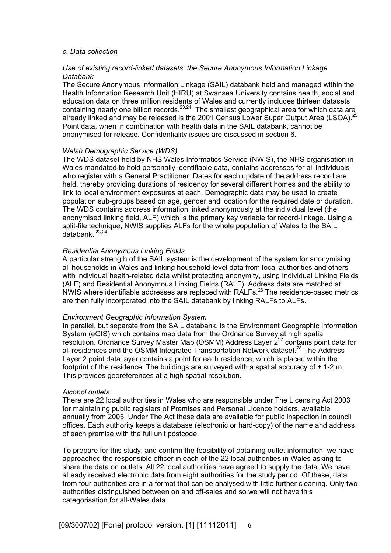#### *c. Data collection*

#### *Use of existing record-linked datasets: the Secure Anonymous Information Linkage Databank*

The Secure Anonymous Information Linkage (SAIL) databank held and managed within the Health Information Research Unit (HIRU) at Swansea University contains health, social and education data on three million residents of Wales and currently includes thirteen datasets containing nearly one billion records.<sup>23,24</sup> The smallest geographical area for which data are already linked and may be released is the 2001 Census Lower Super Output Area (LSOA).<sup>25</sup> Point data, when in combination with health data in the SAIL databank, cannot be anonymised for release. Confidentiality issues are discussed in section 6.

#### *Welsh Demographic Service (WDS)*

The WDS dataset held by NHS Wales Informatics Service (NWIS), the NHS organisation in Wales mandated to hold personally identifiable data, contains addresses for all individuals who register with a General Practitioner. Dates for each update of the address record are held, thereby providing durations of residency for several different homes and the ability to link to local environment exposures at each. Demographic data may be used to create population sub-groups based on age, gender and location for the required date or duration. The WDS contains address information linked anonymously at the individual level (the anonymised linking field, ALF) which is the primary key variable for record-linkage. Using a split-file technique, NWIS supplies ALFs for the whole population of Wales to the SAIL databank.<sup>23,24</sup>

#### *Residential Anonymous Linking Fields*

A particular strength of the SAIL system is the development of the system for anonymising all households in Wales and linking household-level data from local authorities and others with individual health-related data whilst protecting anonymity, using Individual Linking Fields (ALF) and Residential Anonymous Linking Fields (RALF). Address data are matched at NWIS where identifiable addresses are replaced with RALFs. $^{26}$  The residence-based metrics are then fully incorporated into the SAIL databank by linking RALFs to ALFs.

#### *Environment Geographic Information System*

In parallel, but separate from the SAIL databank, is the Environment Geographic Information System (eGIS) which contains map data from the Ordnance Survey at high spatial resolution. Ordnance Survey Master Map (OSMM) Address Layer  $2^{27}$  contains point data for all residences and the OSMM Integrated Transportation Network dataset.<sup>28</sup> The Address Layer 2 point data layer contains a point for each residence, which is placed within the footprint of the residence. The buildings are surveyed with a spatial accuracy of  $\pm$  1-2 m. This provides georeferences at a high spatial resolution.

#### *Alcohol outlets*

There are 22 local authorities in Wales who are responsible under The Licensing Act 2003 for maintaining public registers of Premises and Personal Licence holders, available annually from 2005. Under The Act these data are available for public inspection in council offices. Each authority keeps a database (electronic or hard-copy) of the name and address of each premise with the full unit postcode.

To prepare for this study, and confirm the feasibility of obtaining outlet information, we have approached the responsible officer in each of the 22 local authorities in Wales asking to share the data on outlets. All 22 local authorities have agreed to supply the data. We have already received electronic data from eight authorities for the study period. Of these, data from four authorities are in a format that can be analysed with little further cleaning. Only two authorities distinguished between on and off-sales and so we will not have this categorisation for all-Wales data.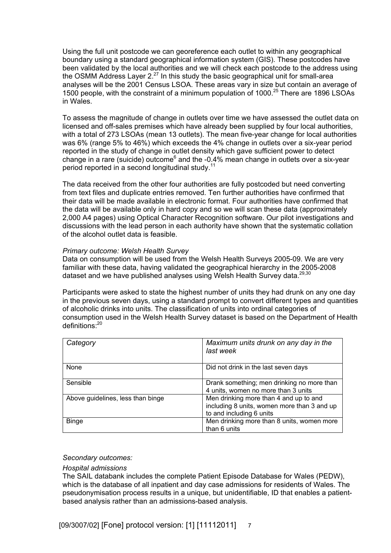Using the full unit postcode we can georeference each outlet to within any geographical boundary using a standard geographical information system (GIS). These postcodes have been validated by the local authorities and we will check each postcode to the address using the OSMM Address Layer  $2.27$  In this study the basic geographical unit for small-area analyses will be the 2001 Census LSOA. These areas vary in size but contain an average of 1500 people, with the constraint of a minimum population of 1000.25 There are 1896 LSOAs in Wales.

To assess the magnitude of change in outlets over time we have assessed the outlet data on licensed and off-sales premises which have already been supplied by four local authorities, with a total of 273 LSOAs (mean 13 outlets). The mean five-year change for local authorities was 6% (range 5% to 46%) which exceeds the 4% change in outlets over a six-year period reported in the study of change in outlet density which gave sufficient power to detect change in a rare (suicide) outcome<sup>6</sup> and the -0.4% mean change in outlets over a six-year period reported in a second longitudinal study.<sup>11</sup>

The data received from the other four authorities are fully postcoded but need converting from text files and duplicate entries removed. Ten further authorities have confirmed that their data will be made available in electronic format. Four authorities have confirmed that the data will be available only in hard copy and so we will scan these data (approximately 2,000 A4 pages) using Optical Character Recognition software. Our pilot investigations and discussions with the lead person in each authority have shown that the systematic collation of the alcohol outlet data is feasible.

### *Primary outcome: Welsh Health Survey*

Data on consumption will be used from the Welsh Health Surveys 2005-09. We are very familiar with these data, having validated the geographical hierarchy in the 2005-2008 dataset and we have published analyses using Welsh Health Survey data.<sup>29,30</sup>

Participants were asked to state the highest number of units they had drunk on any one day in the previous seven days, using a standard prompt to convert different types and quantities of alcoholic drinks into units. The classification of units into ordinal categories of consumption used in the Welsh Health Survey dataset is based on the Department of Health definitions:<sup>20</sup>

| Category                          | Maximum units drunk on any day in the<br>last week                                                                |
|-----------------------------------|-------------------------------------------------------------------------------------------------------------------|
| None                              | Did not drink in the last seven days                                                                              |
| Sensible                          | Drank something; men drinking no more than<br>4 units, women no more than 3 units                                 |
| Above guidelines, less than binge | Men drinking more than 4 and up to and<br>including 8 units, women more than 3 and up<br>to and including 6 units |
| <b>Binge</b>                      | Men drinking more than 8 units, women more<br>than 6 units                                                        |

#### *Secondary outcomes:*

#### *Hospital admissions*

The SAIL databank includes the complete Patient Episode Database for Wales (PEDW), which is the database of all inpatient and day case admissions for residents of Wales. The pseudonymisation process results in a unique, but unidentifiable, ID that enables a patientbased analysis rather than an admissions-based analysis.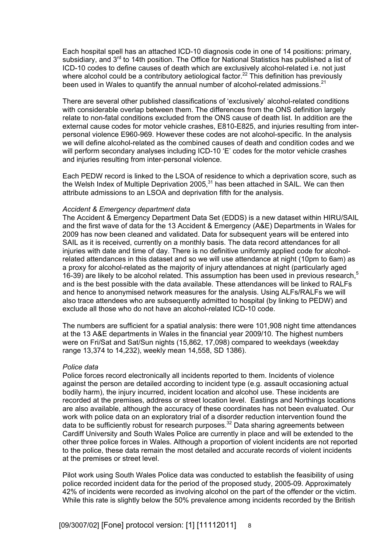Each hospital spell has an attached ICD-10 diagnosis code in one of 14 positions: primary, subsidiary, and 3<sup>rd</sup> to 14th position. The Office for National Statistics has published a list of ICD-10 codes to define causes of death which are exclusively alcohol-related i.e. not just where alcohol could be a contributory aetiological factor.<sup>22</sup> This definition has previously been used in Wales to quantify the annual number of alcohol-related admissions.<sup>21</sup>

There are several other published classifications of 'exclusively' alcohol-related conditions with considerable overlap between them. The differences from the ONS definition largely relate to non-fatal conditions excluded from the ONS cause of death list. In addition are the external cause codes for motor vehicle crashes, E810-E825, and injuries resulting from interpersonal violence E960-969. However these codes are not alcohol-specific. In the analysis we will define alcohol-related as the combined causes of death and condition codes and we will perform secondary analyses including ICD-10 'E' codes for the motor vehicle crashes and injuries resulting from inter-personal violence.

Each PEDW record is linked to the LSOA of residence to which a deprivation score, such as the Welsh Index of Multiple Deprivation 2005, $31$  has been attached in SAIL. We can then attribute admissions to an LSOA and deprivation fifth for the analysis.

#### *Accident & Emergency department data*

The Accident & Emergency Department Data Set (EDDS) is a new dataset within HIRU/SAIL and the first wave of data for the 13 Accident & Emergency (A&E) Departments in Wales for 2009 has now been cleaned and validated. Data for subsequent years will be entered into SAIL as it is received, currently on a monthly basis. The data record attendances for all injuries with date and time of day. There is no definitive uniformly applied code for alcoholrelated attendances in this dataset and so we will use attendance at night (10pm to 6am) as a proxy for alcohol-related as the majority of injury attendances at night (particularly aged 16-39) are likely to be alcohol related. This assumption has been used in previous research, $5$ and is the best possible with the data available. These attendances will be linked to RALFs and hence to anonymised network measures for the analysis. Using ALFs/RALFs we will also trace attendees who are subsequently admitted to hospital (by linking to PEDW) and exclude all those who do not have an alcohol-related ICD-10 code.

The numbers are sufficient for a spatial analysis: there were 101,908 night time attendances at the 13 A&E departments in Wales in the financial year 2009/10. The highest numbers were on Fri/Sat and Sat/Sun nights (15,862, 17,098) compared to weekdays (weekday range 13,374 to 14,232), weekly mean 14,558, SD 1386).

#### *Police data*

Police forces record electronically all incidents reported to them. Incidents of violence against the person are detailed according to incident type (e.g. assault occasioning actual bodily harm), the injury incurred, incident location and alcohol use. These incidents are recorded at the premises, address or street location level. Eastings and Northings locations are also available, although the accuracy of these coordinates has not been evaluated. Our work with police data on an exploratory trial of a disorder reduction intervention found the data to be sufficiently robust for research purposes.<sup>32</sup> Data sharing agreements between Cardiff University and South Wales Police are currently in place and will be extended to the other three police forces in Wales. Although a proportion of violent incidents are not reported to the police, these data remain the most detailed and accurate records of violent incidents at the premises or street level.

Pilot work using South Wales Police data was conducted to establish the feasibility of using police recorded incident data for the period of the proposed study, 2005-09. Approximately 42% of incidents were recorded as involving alcohol on the part of the offender or the victim. While this rate is slightly below the 50% prevalence among incidents recorded by the British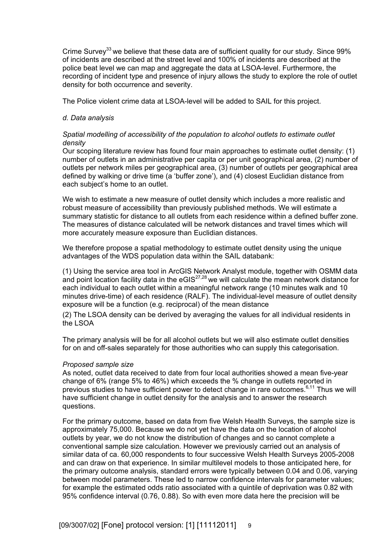Crime Survey<sup>33</sup> we believe that these data are of sufficient quality for our study. Since 99% of incidents are described at the street level and 100% of incidents are described at the police beat level we can map and aggregate the data at LSOA-level. Furthermore, the recording of incident type and presence of injury allows the study to explore the role of outlet density for both occurrence and severity.

The Police violent crime data at LSOA-level will be added to SAIL for this project.

## *d. Data analysis*

## *Spatial modelling of accessibility of the population to alcohol outlets to estimate outlet density*

Our scoping literature review has found four main approaches to estimate outlet density: (1) number of outlets in an administrative per capita or per unit geographical area, (2) number of outlets per network miles per geographical area, (3) number of outlets per geographical area defined by walking or drive time (a 'buffer zone'), and (4) closest Euclidian distance from each subject's home to an outlet.

We wish to estimate a new measure of outlet density which includes a more realistic and robust measure of accessibility than previously published methods. We will estimate a summary statistic for distance to all outlets from each residence within a defined buffer zone. The measures of distance calculated will be network distances and travel times which will more accurately measure exposure than Euclidian distances.

We therefore propose a spatial methodology to estimate outlet density using the unique advantages of the WDS population data within the SAIL databank:

(1) Using the service area tool in ArcGIS Network Analyst module, together with OSMM data and point location facility data in the  $eGIS^{27,28}$  we will calculate the mean network distance for each individual to each outlet within a meaningful network range (10 minutes walk and 10 minutes drive-time) of each residence (RALF). The individual-level measure of outlet density exposure will be a function (e.g. reciprocal) of the mean distance

(2) The LSOA density can be derived by averaging the values for all individual residents in the LSOA

The primary analysis will be for all alcohol outlets but we will also estimate outlet densities for on and off-sales separately for those authorities who can supply this categorisation.

#### *Proposed sample size*

As noted, outlet data received to date from four local authorities showed a mean five-year change of 6% (range 5% to 46%) which exceeds the % change in outlets reported in previous studies to have sufficient power to detect change in rare outcomes.<sup>6,11</sup> Thus we will have sufficient change in outlet density for the analysis and to answer the research questions.

For the primary outcome, based on data from five Welsh Health Surveys, the sample size is approximately 75,000. Because we do not yet have the data on the location of alcohol outlets by year, we do not know the distribution of changes and so cannot complete a conventional sample size calculation. However we previously carried out an analysis of similar data of ca. 60,000 respondents to four successive Welsh Health Surveys 2005-2008 and can draw on that experience. In similar multilevel models to those anticipated here, for the primary outcome analysis, standard errors were typically between 0.04 and 0.06, varying between model parameters. These led to narrow confidence intervals for parameter values; for example the estimated odds ratio associated with a quintile of deprivation was 0.82 with 95% confidence interval (0.76, 0.88). So with even more data here the precision will be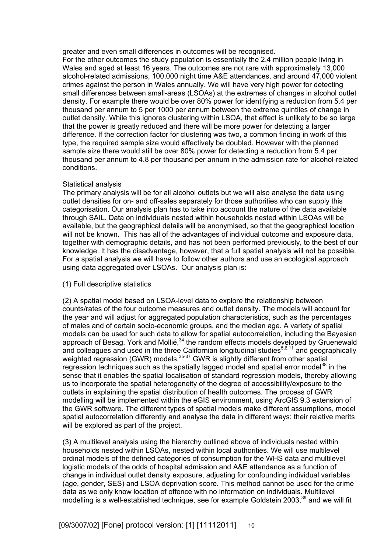greater and even small differences in outcomes will be recognised.

For the other outcomes the study population is essentially the 2.4 million people living in Wales and aged at least 16 years. The outcomes are not rare with approximately 13,000 alcohol-related admissions, 100,000 night time A&E attendances, and around 47,000 violent crimes against the person in Wales annually. We will have very high power for detecting small differences between small-areas (LSOAs) at the extremes of changes in alcohol outlet density. For example there would be over 80% power for identifying a reduction from 5.4 per thousand per annum to 5 per 1000 per annum between the extreme quintiles of change in outlet density. While this ignores clustering within LSOA, that effect is unlikely to be so large that the power is greatly reduced and there will be more power for detecting a larger difference. If the correction factor for clustering was two, a common finding in work of this type, the required sample size would effectively be doubled. However with the planned sample size there would still be over 80% power for detecting a reduction from 5.4 per thousand per annum to 4.8 per thousand per annum in the admission rate for alcohol-related conditions.

### Statistical analysis

The primary analysis will be for all alcohol outlets but we will also analyse the data using outlet densities for on- and off-sales separately for those authorities who can supply this categorisation. Our analysis plan has to take into account the nature of the data available through SAIL. Data on individuals nested within households nested within LSOAs will be available, but the geographical details will be anonymised, so that the geographical location will not be known. This has all of the advantages of individual outcome and exposure data, together with demographic details, and has not been performed previously, to the best of our knowledge. It has the disadvantage, however, that a full spatial analysis will not be possible. For a spatial analysis we will have to follow other authors and use an ecological approach using data aggregated over LSOAs. Our analysis plan is:

## (1) Full descriptive statistics

(2) A spatial model based on LSOA-level data to explore the relationship between counts/rates of the four outcome measures and outlet density. The models will account for the year and will adjust for aggregated population characteristics, such as the percentages of males and of certain socio-economic groups, and the median age. A variety of spatial models can be used for such data to allow for spatial autocorrelation, including the Bayesian approach of Besag, York and Mollié,<sup>34</sup> the random effects models developed by Gruenewald and colleagues and used in the three Californian longitudinal studies<sup>5,6,11</sup> and geographically weighted regression (GWR) models. $35-37$  GWR is slightly different from other spatial regression techniques such as the spatially lagged model and spatial error model<sup>38</sup> in the sense that it enables the spatial localisation of standard regression models, thereby allowing us to incorporate the spatial heterogeneity of the degree of accessibility/exposure to the outlets in explaining the spatial distribution of health outcomes. The process of GWR modelling will be implemented within the eGIS environment, using ArcGIS 9.3 extension of the GWR software. The different types of spatial models make different assumptions, model spatial autocorrelation differently and analyse the data in different ways; their relative merits will be explored as part of the project.

(3) A multilevel analysis using the hierarchy outlined above of individuals nested within households nested within LSOAs, nested within local authorities. We will use multilevel ordinal models of the defined categories of consumption for the WHS data and multilevel logistic models of the odds of hospital admission and A&E attendance as a function of change in individual outlet density exposure, adjusting for confounding individual variables (age, gender, SES) and LSOA deprivation score. This method cannot be used for the crime data as we only know location of offence with no information on individuals. Multilevel modelling is a well-established technique, see for example Goldstein 2003,<sup>39</sup> and we will fit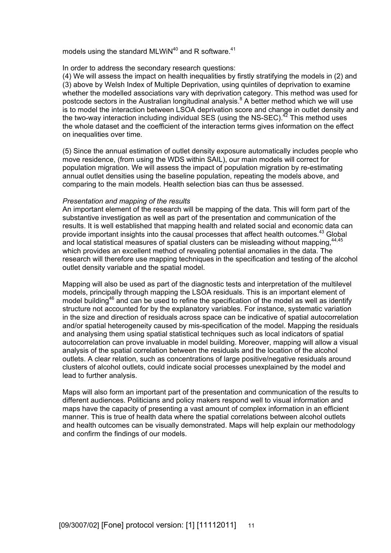models using the standard MLWiN $40$  and R software.<sup>41</sup>

### In order to address the secondary research questions:

(4) We will assess the impact on health inequalities by firstly stratifying the models in (2) and (3) above by Welsh Index of Multiple Deprivation, using quintiles of deprivation to examine whether the modelled associations vary with deprivation category. This method was used for postcode sectors in the Australian longitudinal analysis. $8$  A better method which we will use is to model the interaction between LSOA deprivation score and change in outlet density and the two-way interaction including individual SES (using the NS-SEC). $^{42}$  This method uses the whole dataset and the coefficient of the interaction terms gives information on the effect on inequalities over time.

(5) Since the annual estimation of outlet density exposure automatically includes people who move residence, (from using the WDS within SAIL), our main models will correct for population migration. We will assess the impact of population migration by re-estimating annual outlet densities using the baseline population, repeating the models above, and comparing to the main models. Health selection bias can thus be assessed.

### *Presentation and mapping of the results*

An important element of the research will be mapping of the data. This will form part of the substantive investigation as well as part of the presentation and communication of the results. It is well established that mapping health and related social and economic data can provide important insights into the causal processes that affect health outcomes.<sup>43</sup> Global and local statistical measures of spatial clusters can be misleading without mapping,  $44,45$ which provides an excellent method of revealing potential anomalies in the data. The research will therefore use mapping techniques in the specification and testing of the alcohol outlet density variable and the spatial model.

Mapping will also be used as part of the diagnostic tests and interpretation of the multilevel models, principally through mapping the LSOA residuals. This is an important element of model building<sup>46</sup> and can be used to refine the specification of the model as well as identify structure not accounted for by the explanatory variables. For instance, systematic variation in the size and direction of residuals across space can be indicative of spatial autocorrelation and/or spatial heterogeneity caused by mis-specification of the model. Mapping the residuals and analysing them using spatial statistical techniques such as local indicators of spatial autocorrelation can prove invaluable in model building. Moreover, mapping will allow a visual analysis of the spatial correlation between the residuals and the location of the alcohol outlets. A clear relation, such as concentrations of large positive/negative residuals around clusters of alcohol outlets, could indicate social processes unexplained by the model and lead to further analysis.

Maps will also form an important part of the presentation and communication of the results to different audiences. Politicians and policy makers respond well to visual information and maps have the capacity of presenting a vast amount of complex information in an efficient manner. This is true of health data where the spatial correlations between alcohol outlets and health outcomes can be visually demonstrated. Maps will help explain our methodology and confirm the findings of our models.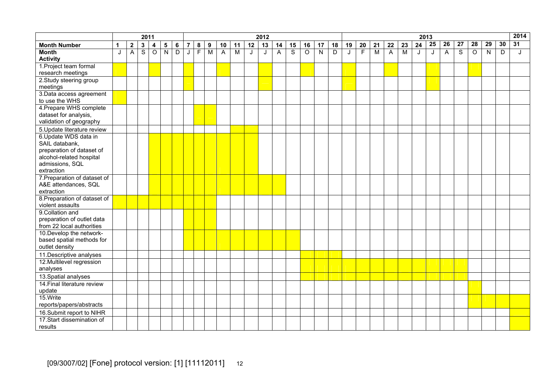|                                                         | 2011<br>2012 |                  |                         |                |                |                |                |                |                  | 2014<br>2013   |                         |    |    |                |                         |                |                         |                |                         |                |                         |                |                |    |    |    |                |         |                |                |                 |
|---------------------------------------------------------|--------------|------------------|-------------------------|----------------|----------------|----------------|----------------|----------------|------------------|----------------|-------------------------|----|----|----------------|-------------------------|----------------|-------------------------|----------------|-------------------------|----------------|-------------------------|----------------|----------------|----|----|----|----------------|---------|----------------|----------------|-----------------|
| <b>Month Number</b>                                     | $\mathbf 1$  | $\boldsymbol{2}$ | $\mathbf 3$             | 4              | $\sqrt{5}$     | 6              | $\overline{7}$ | 8              | $\boldsymbol{9}$ | 10             | 11                      | 12 | 13 | 14             | 15                      | 16             | 17                      | 18             | 19                      | 20             | 21                      | 22             | 23             | 24 | 25 | 26 | 27             | 28      | 29             | 30             | $\overline{31}$ |
| <b>Month</b>                                            | J            | A                | $\overline{\mathsf{s}}$ | $\overline{O}$ | $\overline{N}$ | $\overline{D}$ | J              | $\overline{F}$ | $\overline{M}$   | $\overline{A}$ | $\overline{\mathsf{M}}$ | J  | J  | $\overline{A}$ | $\overline{\mathsf{s}}$ | $\overline{0}$ | $\overline{\mathsf{N}}$ | $\overline{D}$ | $\overline{\mathsf{J}}$ | $\overline{F}$ | $\overline{\mathsf{M}}$ | $\overline{A}$ | $\overline{M}$ | J  | J  | A  | $\overline{s}$ | $\circ$ | $\overline{N}$ | $\overline{D}$ | J               |
| <b>Activity</b>                                         |              |                  |                         |                |                |                |                |                |                  |                |                         |    |    |                |                         |                |                         |                |                         |                |                         |                |                |    |    |    |                |         |                |                |                 |
| 1. Project team formal                                  |              |                  |                         |                |                |                |                |                |                  |                |                         |    |    |                |                         |                |                         |                |                         |                |                         |                |                |    |    |    |                |         |                |                |                 |
| research meetings                                       |              |                  |                         |                |                |                |                |                |                  |                |                         |    |    |                |                         |                |                         |                |                         |                |                         |                |                |    |    |    |                |         |                |                |                 |
| 2. Study steering group                                 |              |                  |                         |                |                |                |                |                |                  |                |                         |    |    |                |                         |                |                         |                |                         |                |                         |                |                |    |    |    |                |         |                |                |                 |
| meetings                                                |              |                  |                         |                |                |                |                |                |                  |                |                         |    |    |                |                         |                |                         |                |                         |                |                         |                |                |    |    |    |                |         |                |                |                 |
| 3. Data access agreement                                |              |                  |                         |                |                |                |                |                |                  |                |                         |    |    |                |                         |                |                         |                |                         |                |                         |                |                |    |    |    |                |         |                |                |                 |
| to use the WHS<br>4. Prepare WHS complete               |              |                  |                         |                |                |                |                |                |                  |                |                         |    |    |                |                         |                |                         |                |                         |                |                         |                |                |    |    |    |                |         |                |                |                 |
| dataset for analysis,                                   |              |                  |                         |                |                |                |                |                |                  |                |                         |    |    |                |                         |                |                         |                |                         |                |                         |                |                |    |    |    |                |         |                |                |                 |
| validation of geography                                 |              |                  |                         |                |                |                |                |                |                  |                |                         |    |    |                |                         |                |                         |                |                         |                |                         |                |                |    |    |    |                |         |                |                |                 |
| 5. Update literature review                             |              |                  |                         |                |                |                |                |                |                  |                |                         |    |    |                |                         |                |                         |                |                         |                |                         |                |                |    |    |    |                |         |                |                |                 |
| 6. Update WDS data in                                   |              |                  |                         |                |                |                |                |                |                  |                |                         |    |    |                |                         |                |                         |                |                         |                |                         |                |                |    |    |    |                |         |                |                |                 |
| SAIL databank,                                          |              |                  |                         |                |                |                |                |                |                  |                |                         |    |    |                |                         |                |                         |                |                         |                |                         |                |                |    |    |    |                |         |                |                |                 |
| preparation of dataset of                               |              |                  |                         |                |                |                |                |                |                  |                |                         |    |    |                |                         |                |                         |                |                         |                |                         |                |                |    |    |    |                |         |                |                |                 |
| alcohol-related hospital                                |              |                  |                         |                |                |                |                |                |                  |                |                         |    |    |                |                         |                |                         |                |                         |                |                         |                |                |    |    |    |                |         |                |                |                 |
| admissions, SQL                                         |              |                  |                         |                |                |                |                |                |                  |                |                         |    |    |                |                         |                |                         |                |                         |                |                         |                |                |    |    |    |                |         |                |                |                 |
| extraction                                              |              |                  |                         |                |                |                |                |                |                  |                |                         |    |    |                |                         |                |                         |                |                         |                |                         |                |                |    |    |    |                |         |                |                |                 |
| 7. Preparation of dataset of                            |              |                  |                         |                |                |                |                |                |                  |                |                         |    |    |                |                         |                |                         |                |                         |                |                         |                |                |    |    |    |                |         |                |                |                 |
| A&E attendances, SQL                                    |              |                  |                         |                |                |                |                |                |                  |                |                         |    |    |                |                         |                |                         |                |                         |                |                         |                |                |    |    |    |                |         |                |                |                 |
| extraction                                              |              |                  |                         |                |                |                |                |                |                  |                |                         |    |    |                |                         |                |                         |                |                         |                |                         |                |                |    |    |    |                |         |                |                |                 |
| 8. Preparation of dataset of                            |              |                  |                         |                |                |                |                |                |                  |                |                         |    |    |                |                         |                |                         |                |                         |                |                         |                |                |    |    |    |                |         |                |                |                 |
| violent assaults                                        |              |                  |                         |                |                |                |                |                |                  |                |                         |    |    |                |                         |                |                         |                |                         |                |                         |                |                |    |    |    |                |         |                |                |                 |
| 9. Collation and                                        |              |                  |                         |                |                |                |                |                |                  |                |                         |    |    |                |                         |                |                         |                |                         |                |                         |                |                |    |    |    |                |         |                |                |                 |
| preparation of outlet data<br>from 22 local authorities |              |                  |                         |                |                |                |                |                |                  |                |                         |    |    |                |                         |                |                         |                |                         |                |                         |                |                |    |    |    |                |         |                |                |                 |
| 10. Develop the network-                                |              |                  |                         |                |                |                |                |                |                  |                |                         |    |    |                |                         |                |                         |                |                         |                |                         |                |                |    |    |    |                |         |                |                |                 |
| based spatial methods for                               |              |                  |                         |                |                |                |                |                |                  |                |                         |    |    |                |                         |                |                         |                |                         |                |                         |                |                |    |    |    |                |         |                |                |                 |
| outlet density                                          |              |                  |                         |                |                |                |                |                |                  |                |                         |    |    |                |                         |                |                         |                |                         |                |                         |                |                |    |    |    |                |         |                |                |                 |
| 11. Descriptive analyses                                |              |                  |                         |                |                |                |                |                |                  |                |                         |    |    |                |                         |                |                         |                |                         |                |                         |                |                |    |    |    |                |         |                |                |                 |
| 12. Multilevel regression                               |              |                  |                         |                |                |                |                |                |                  |                |                         |    |    |                |                         |                |                         |                |                         |                |                         |                |                |    |    |    |                |         |                |                |                 |
| analyses                                                |              |                  |                         |                |                |                |                |                |                  |                |                         |    |    |                |                         |                |                         |                |                         |                |                         |                |                |    |    |    |                |         |                |                |                 |
| 13. Spatial analyses                                    |              |                  |                         |                |                |                |                |                |                  |                |                         |    |    |                |                         |                |                         |                |                         |                |                         |                |                |    |    |    |                |         |                |                |                 |
| 14. Final literature review                             |              |                  |                         |                |                |                |                |                |                  |                |                         |    |    |                |                         |                |                         |                |                         |                |                         |                |                |    |    |    |                |         |                |                |                 |
| update                                                  |              |                  |                         |                |                |                |                |                |                  |                |                         |    |    |                |                         |                |                         |                |                         |                |                         |                |                |    |    |    |                |         |                |                |                 |
| 15.Write                                                |              |                  |                         |                |                |                |                |                |                  |                |                         |    |    |                |                         |                |                         |                |                         |                |                         |                |                |    |    |    |                |         |                |                |                 |
| reports/papers/abstracts                                |              |                  |                         |                |                |                |                |                |                  |                |                         |    |    |                |                         |                |                         |                |                         |                |                         |                |                |    |    |    |                |         |                |                |                 |
| 16. Submit report to NIHR                               |              |                  |                         |                |                |                |                |                |                  |                |                         |    |    |                |                         |                |                         |                |                         |                |                         |                |                |    |    |    |                |         |                |                |                 |
| 17.Start dissemination of                               |              |                  |                         |                |                |                |                |                |                  |                |                         |    |    |                |                         |                |                         |                |                         |                |                         |                |                |    |    |    |                |         |                |                |                 |
| results                                                 |              |                  |                         |                |                |                |                |                |                  |                |                         |    |    |                |                         |                |                         |                |                         |                |                         |                |                |    |    |    |                |         |                |                |                 |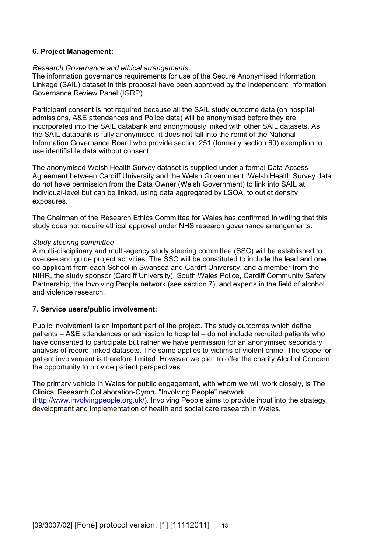## **6. Project Management:**

### *Research Governance and ethical arrangements*

The information governance requirements for use of the Secure Anonymised Information Linkage (SAIL) dataset in this proposal have been approved by the Independent Information Governance Review Panel (IGRP).

Participant consent is not required because all the SAIL study outcome data (on hospital admissions, A&E attendances and Police data) will be anonymised before they are incorporated into the SAIL databank and anonymously linked with other SAIL datasets. As the SAIL databank is fully anonymised, it does not fall into the remit of the National Information Governance Board who provide section 251 (formerly section 60) exemption to use identifiable data without consent.

The anonymised Welsh Health Survey dataset is supplied under a formal Data Access Agreement between Cardiff University and the Welsh Government. Welsh Health Survey data do not have permission from the Data Owner (Welsh Government) to link into SAIL at individual-level but can be linked, using data aggregated by LSOA, to outlet density exposures.

The Chairman of the Research Ethics Committee for Wales has confirmed in writing that this study does not require ethical approval under NHS research governance arrangements.

### *Study steering committee*

A multi-disciplinary and multi-agency study steering committee (SSC) will be established to oversee and guide project activities. The SSC will be constituted to include the lead and one co-applicant from each School in Swansea and Cardiff University, and a member from the NIHR, the study sponsor (Cardiff University), South Wales Police, Cardiff Community Safety Partnership, the Involving People network (see section 7), and experts in the field of alcohol and violence research.

## **7. Service users/public involvement:**

Public involvement is an important part of the project. The study outcomes which define patients – A&E attendances or admission to hospital – do not include recruited patients who have consented to participate but rather we have permission for an anonymised secondary analysis of record-linked datasets. The same applies to victims of violent crime. The scope for patient involvement is therefore limited. However we plan to offer the charity Alcohol Concern the opportunity to provide patient perspectives.

The primary vehicle in Wales for public engagement, with whom we will work closely, is The Clinical Research Collaboration-Cymru "Involving People" network (http://www.involvingpeople.org.uk/). Involving People aims to provide input into the strategy, development and implementation of health and social care research in Wales.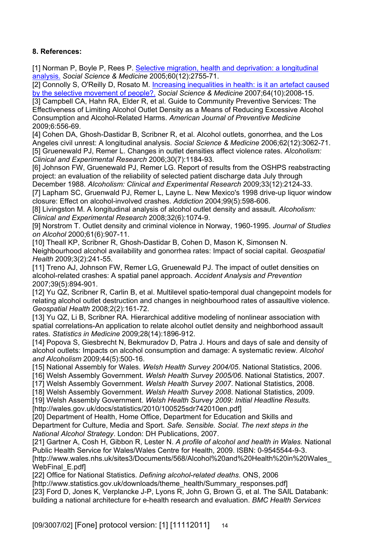# **8. References:**

[1] Norman P, Boyle P, Rees P. Selective migration, health and deprivation: a longitudinal analysis. *Social Science & Medicine* 2005;60(12):2755-71.

[2] Connolly S, O'Reilly D, Rosato M. Increasing inequalities in health: is it an artefact caused by the selective movement of people?. *Social Science & Medicine* 2007;64(10):2008-15.

[3] Campbell CA, Hahn RA, Elder R, et al. Guide to Community Preventive Services: The Effectiveness of Limiting Alcohol Outlet Density as a Means of Reducing Excessive Alcohol Consumption and Alcohol-Related Harms. *American Journal of Preventive Medicine* 2009;6:556-69.

[4] Cohen DA, Ghosh-Dastidar B, Scribner R, et al. Alcohol outlets, gonorrhea, and the Los Angeles civil unrest: A longitudinal analysis. *Social Science & Medicine* 2006;62(12):3062-71. [5] Gruenewald PJ, Remer L. Changes in outlet densities affect violence rates. *Alcoholism:* 

*Clinical and Experimental Research* 2006;30(7):1184-93.

[6] Johnson FW, Gruenewald PJ, Remer LG. Report of results from the OSHPS reabstracting project: an evaluation of the reliability of selected patient discharge data July through December 1988. *Alcoholism: Clinical and Experimental Research* 2009;33(12):2124-33.

[7] Lapham SC, Gruenwald PJ, Remer L, Layne L. New Mexico's 1998 drive-up liquor window closure: Effect on alcohol-involved crashes. *Addiction* 2004;99(5):598-606.

[8] Livingston M. A longitudinal analysis of alcohol outlet density and assault. *Alcoholism: Clinical and Experimental Research* 2008;32(6):1074-9.

[9] Norstrom T. Outlet density and criminal violence in Norway, 1960-1995. *Journal of Studies on Alcohol* 2000;61(6):907-11.

[10] Theall KP, Scribner R, Ghosh-Dastidar B, Cohen D, Mason K, Simonsen N. Neighbourhood alcohol availability and gonorrhea rates: Impact of social capital. *Geospatial Health* 2009;3(2):241-55.

[11] Treno AJ, Johnson FW, Remer LG, Gruenewald PJ. The impact of outlet densities on alcohol-related crashes: A spatial panel approach. *Accident Analysis and Prevention* 2007;39(5):894-901.

[12] Yu QZ, Scribner R, Carlin B, et al. Multilevel spatio-temporal dual changepoint models for relating alcohol outlet destruction and changes in neighbourhood rates of assaultive violence. *Geospatial Health* 2008;2(2):161-72.

[13] Yu QZ, Li B, Scribner RA. Hierarchical additive modeling of nonlinear association with spatial correlations-An application to relate alcohol outlet density and neighborhood assault rates. *Statistics in Medicine* 2009;28(14):1896-912.

[14] Popova S, Giesbrecht N, Bekmuradov D, Patra J. Hours and days of sale and density of alcohol outlets: Impacts on alcohol consumption and damage: A systematic review. *Alcohol and Alcoholism* 2009;44(5):500-16.

[15] National Assembly for Wales. *Welsh Health Survey 2004/05*. National Statistics, 2006.

[16] Welsh Assembly Government. *Welsh Health Survey 2005/06*. National Statistics, 2007.

[17] Welsh Assembly Government. *Welsh Health Survey 2007*. National Statistics, 2008.

[18] Welsh Assembly Government. *Welsh Health Survey 2008*. National Statistics, 2009.

[19] Welsh Assembly Government. *Welsh Health Survey 2009: Initial Headline Results.*

[http://wales.gov.uk/docs/statistics/2010/100525sdr742010en.pdf]

[20] Department of Health, Home Office, Department for Education and Skills and Department for Culture, Media and Sport. *Safe. Sensible. Social. The next steps in the National Alcohol Strategy*. London: DH Publications, 2007.

[21] Gartner A, Cosh H, Gibbon R, Lester N. *A profile of alcohol and health in Wales.* National Public Health Service for Wales/Wales Centre for Health, 2009. ISBN: 0-9545544-9-3. [http://www.wales.nhs.uk/sites3/Documents/568/Alcohol%20and%20Health%20in%20Wales\_ WebFinal E.pdfl

[22] Office for National Statistics. *Defining alcohol-related deaths*. ONS, 2006 [http://www.statistics.gov.uk/downloads/theme\_health/Summary\_responses.pdf]

[23] Ford D, Jones K, Verplancke J-P, Lyons R, John G, Brown G, et al. The SAIL Databank: building a national architecture for e-health research and evaluation. *BMC Health Services*